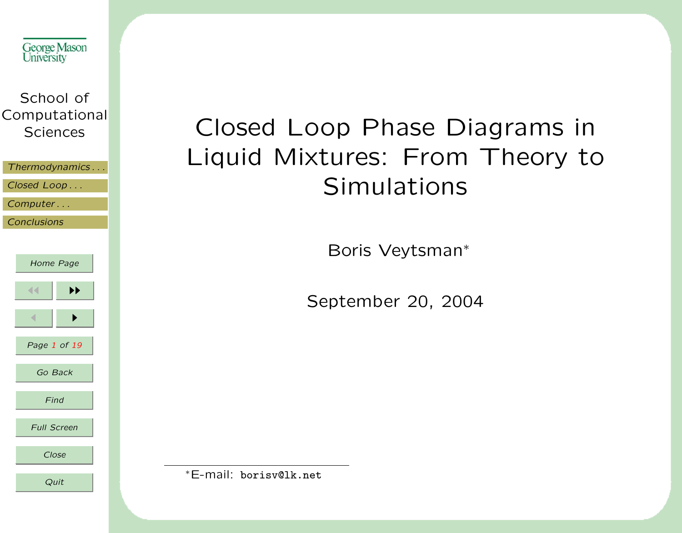

# Closed Loop Phase Diagrams in Liquid Mixtures: From Theory to **Simulations**

Boris Veytsman<sup>∗</sup>

September 20, 2004

<sup>∗</sup>E-mail: borisv@lk.net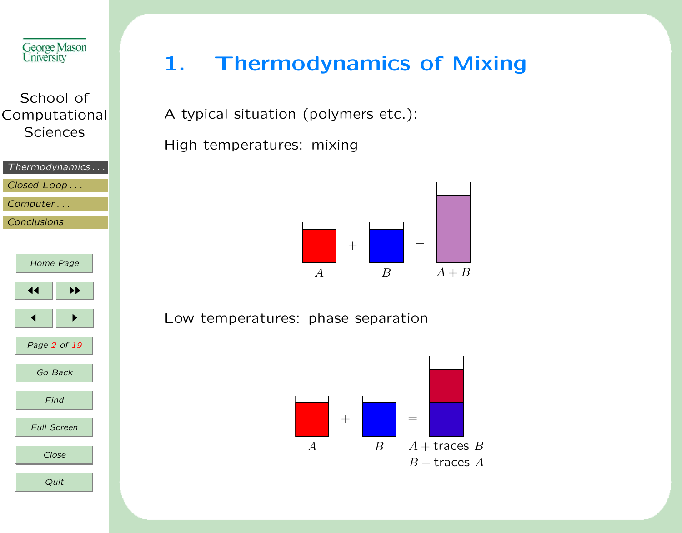<span id="page-1-0"></span>

|                    | Thermodynamics     |  |
|--------------------|--------------------|--|
| Closed Loop        |                    |  |
| Computer           |                    |  |
| <b>Conclusions</b> |                    |  |
|                    |                    |  |
|                    |                    |  |
|                    | Home Page          |  |
|                    |                    |  |
| ◀◀                 | ▶▶                 |  |
|                    |                    |  |
|                    |                    |  |
|                    | Page 2 of 19       |  |
|                    |                    |  |
|                    | Go Back            |  |
|                    |                    |  |
|                    | Find               |  |
|                    |                    |  |
|                    | <b>Full Screen</b> |  |
|                    |                    |  |
|                    | Close              |  |
|                    | Quit               |  |
|                    |                    |  |

# 1. Thermodynamics of Mixing

A typical situation (polymers etc.):

High temperatures: mixing



#### Low temperatures: phase separation

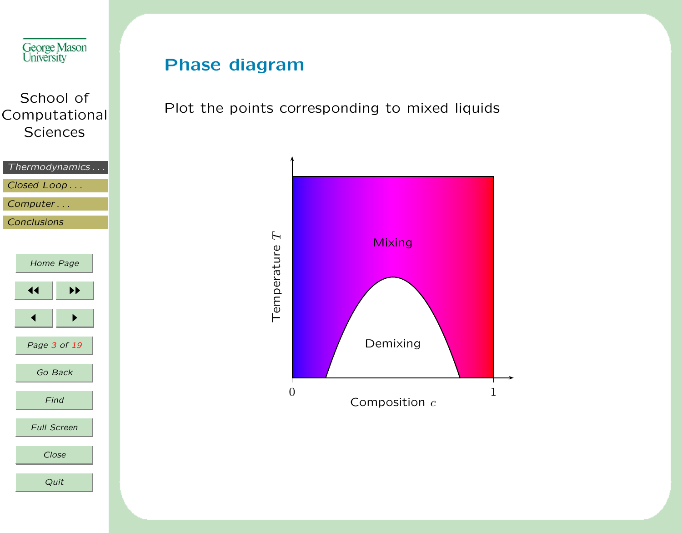

### Phase diagram

Plot the points corresponding to mixed liquids

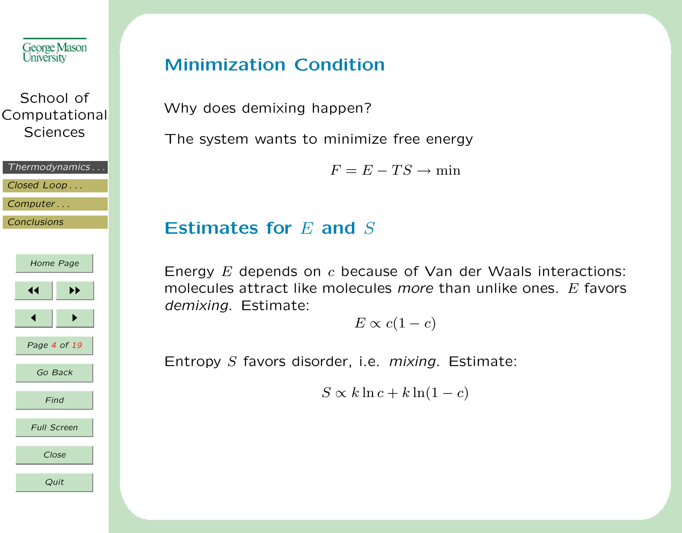

| Thermodynamics |
|----------------|
| Closed Loop    |
| Computer       |
| Conclusions    |
|                |



#### Minimization Condition

Why does demixing happen?

The system wants to minimize free energy

 $F = E - TS \rightarrow min$ 

#### Estimates for  $E$  and  $S$

Energy  $E$  depends on  $c$  because of Van der Waals interactions: molecules attract like molecules more than unlike ones.  $E$  favors demixing. Estimate:

 $E \propto c(1-c)$ 

Entropy S favors disorder, i.e. mixing. Estimate:

 $S \propto k \ln c + k \ln(1-c)$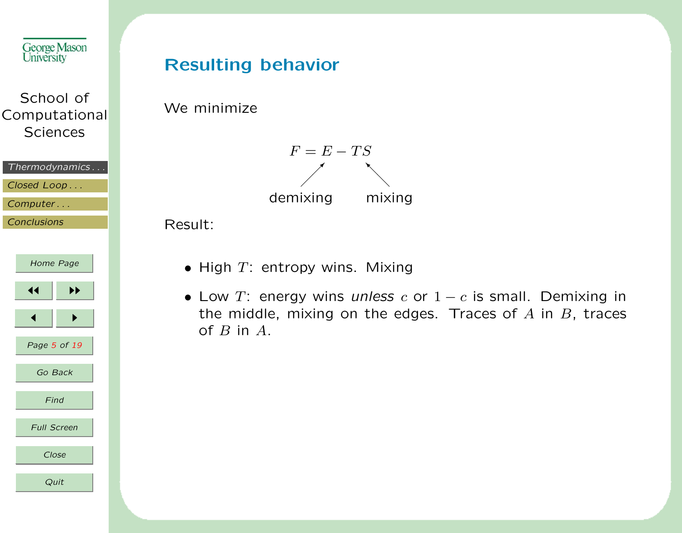| George Mason      |
|-------------------|
| <b>University</b> |

| School of     |  |
|---------------|--|
| Computational |  |
| Sciences      |  |

| Thermodynamics |
|----------------|
| Closed Loop    |
| Computer       |
| Conclusions    |
|                |



#### Resulting behavior

We minimize



Result:

- $\bullet$  High  $T$ : entropy wins. Mixing
- Low T: energy wins unless c or  $1 c$  is small. Demixing in the middle, mixing on the edges. Traces of  $A$  in  $B$ , traces of  $B$  in  $A$ .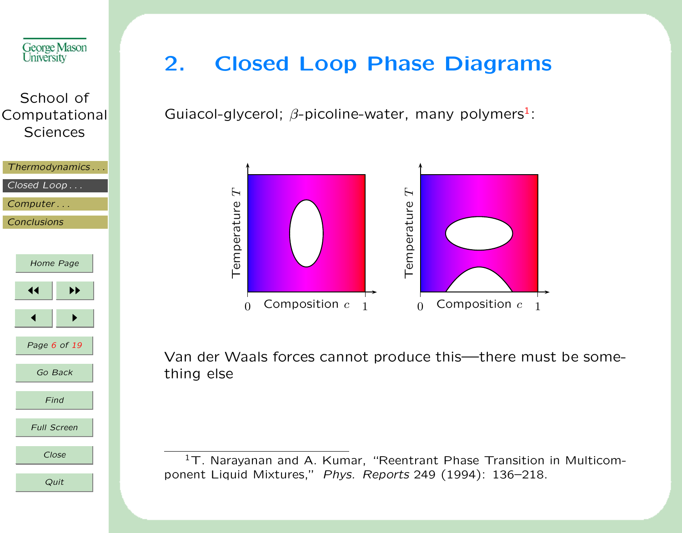<span id="page-5-0"></span>



# 2. Closed Loop Phase Diagrams

Guiacol-glycerol;  $\beta$ -picoline-water, many polymers<sup>1</sup>:



Van der Waals forces cannot produce this—there must be something else

<sup>1</sup>T. Narayanan and A. Kumar, "Reentrant Phase Transition in Multicomponent Liquid Mixtures," Phys. Reports 249 (1994): 136–218.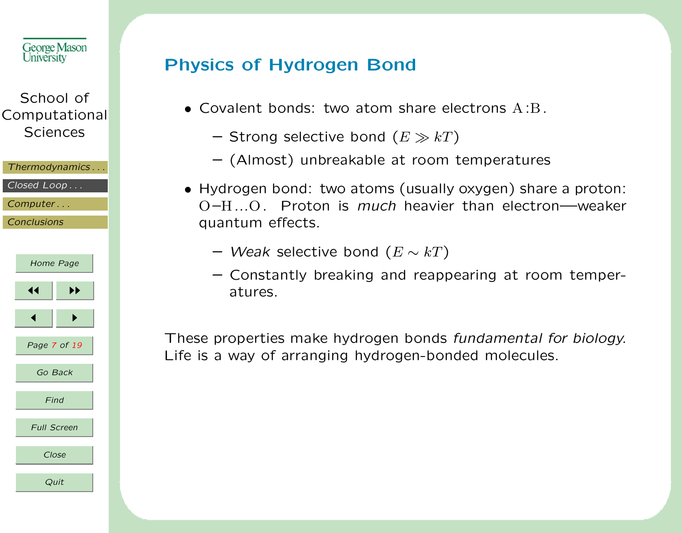| George Mason<br>University                    | Phys                        |
|-----------------------------------------------|-----------------------------|
| School of<br>Computational<br><b>Sciences</b> | C                           |
| Thermodynamics                                |                             |
| Closed Loop                                   | $\vdash$                    |
| Computer                                      | $\mathcal{C}_{\mathcal{A}}$ |
| <b>Conclusions</b>                            | q                           |
|                                               |                             |
| Home Page                                     |                             |
| ∢<br>▶▶                                       |                             |
|                                               |                             |
| Page 7 of 19                                  | These                       |
| Go Back                                       | Life is                     |
| Find                                          |                             |
| <b>Full Screen</b>                            |                             |
| Close                                         |                             |
| Quit                                          |                             |

# sics of Hydrogen Bond

- Covalent bonds: two atom share electrons  $A:B$ .
	- Strong selective bond  $(E \gg kT)$
	- (Almost) unbreakable at room temperatures
- Hydrogen bond: two atoms (usually oxygen) share a proton: O–H...O. Proton is much heavier than electron—weaker quantum effects.
	- Weak selective bond  $(E \sim kT)$
	- Constantly breaking and reappearing at room temperatures.

E properties make hydrogen bonds fundamental for biology. s a way of arranging hydrogen-bonded molecules.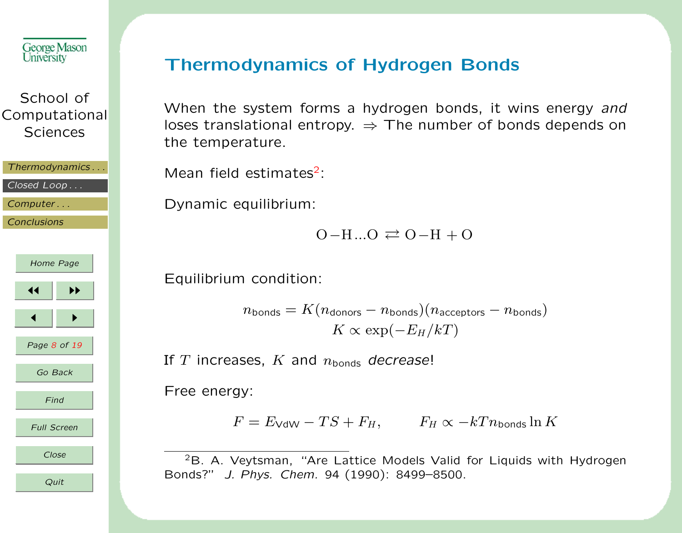

| Thermodynamics         |
|------------------------|
|                        |
| $Closed$ $Loop \ldots$ |
|                        |
| Computer               |

**[Conclusions](#page-17-0)** 



#### Thermodynamics of Hydrogen Bonds

When the system forms a hydrogen bonds, it wins energy and loses translational entropy.  $\Rightarrow$  The number of bonds depends on the temperature.

Mean field estimates $2$ :

Dynamic equilibrium:

 $O-H...O \rightleftarrows O-H+O$ 

Equilibrium condition:

```
n_{\text{bonds}} = K(n_{\text{donors}} - n_{\text{bonds}})(n_{\text{acceptors}} - n_{\text{bonds}})K \propto \exp(-E_H/kT)
```
If T increases, K and  $n_{\text{bonds}}$  decrease!

Free energy:

 $F = E_{\text{VdW}} - TS + F_H,$   $F_H \propto -kT n_{\text{bonds}} \ln K$ 

<sup>2</sup>B. A. Veytsman, "Are Lattice Models Valid for Liquids with Hydrogen Bonds?" J. Phys. Chem. 94 (1990): 8499–8500.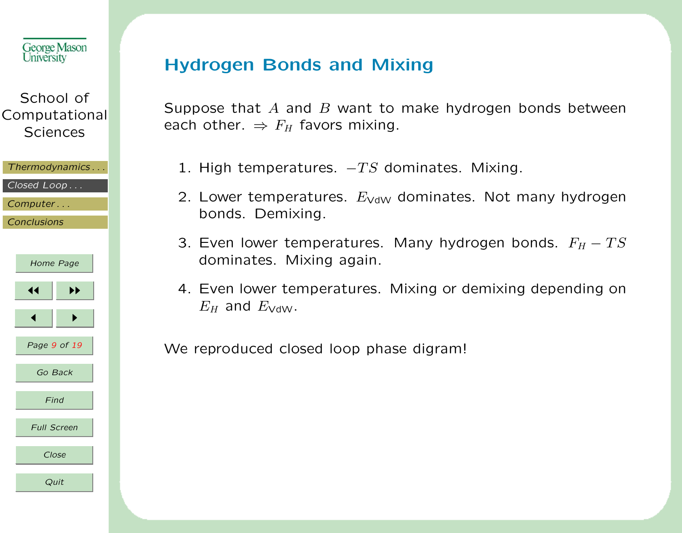

| Thermodynamics |
|----------------|
| Closed Loop    |
| Computer       |
| Conclusions    |
|                |
|                |

| Home Page          |
|--------------------|
| ▶▶<br>◀◀           |
| ▶                  |
| Page 9 of 19       |
| Go Back            |
| Find               |
| <b>Full Screen</b> |
| Close              |
| Quit               |

#### Hydrogen Bonds and Mixing

Suppose that A and B want to make hydrogen bonds between each other.  $\Rightarrow$   $F_H$  favors mixing.

- 1. High temperatures.  $-TS$  dominates. Mixing.
- 2. Lower temperatures.  $E_{\text{VdW}}$  dominates. Not many hydrogen bonds. Demixing.
- 3. Even lower temperatures. Many hydrogen bonds.  $F_H TS$ dominates. Mixing again.
- 4. Even lower temperatures. Mixing or demixing depending on  $E_H$  and  $E_{\text{VdW}}$ .

We reproduced closed loop phase digram!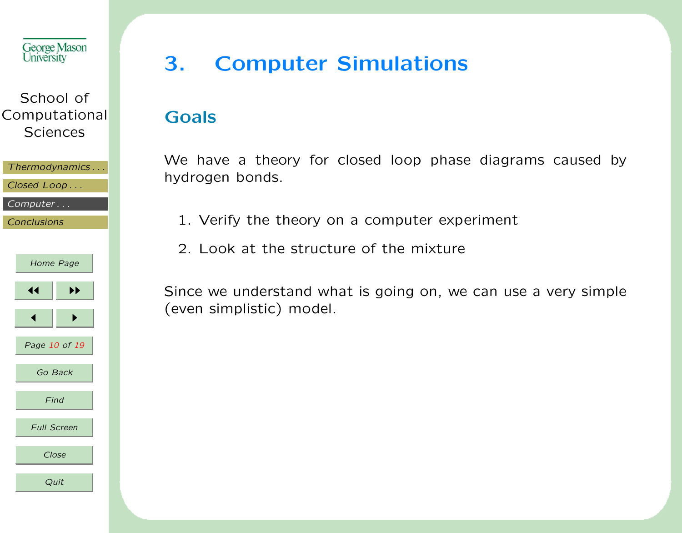<span id="page-9-0"></span>

| Thermodynamics |
|----------------|
| Closed Loop    |
| Computer       |

**[Conclusions](#page-17-0)** 



# 3. Computer Simulations

#### Goals

We have a theory for closed loop phase diagrams caused by hydrogen bonds.

- 1. Verify the theory on a computer experiment
- 2. Look at the structure of the mixture

Since we understand what is going on, we can use a very simple (even simplistic) model.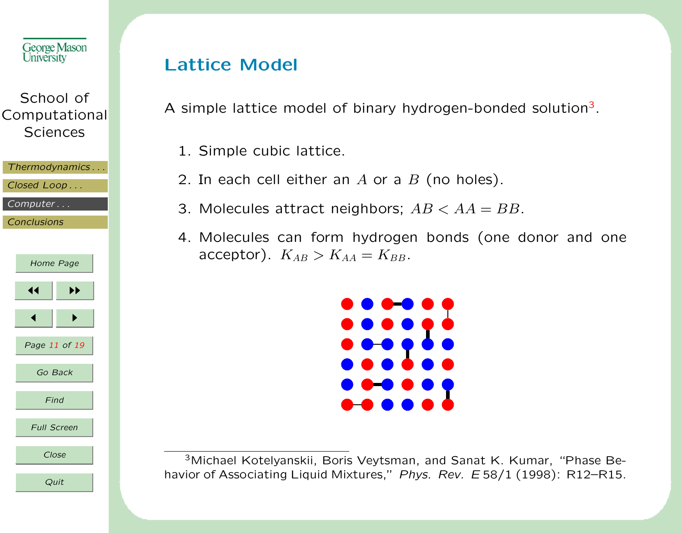

| Thermodynamics |
|----------------|
| Closed Loop    |

[Computer . . .](#page-9-0)

**[Conclusions](#page-17-0)** 

| Home Page          |               |
|--------------------|---------------|
| ◀◀                 | ▶▶            |
|                    | ь             |
|                    | Page 11 of 19 |
|                    | Go Back       |
|                    | Find          |
| <b>Full Screen</b> |               |
|                    | Close         |
|                    | Quit          |

### Lattice Model

A simple lattice model of binary hydrogen-bonded solution<sup>3</sup>.

- 1. Simple cubic lattice.
- 2. In each cell either an  $A$  or a  $B$  (no holes).
- 3. Molecules attract neighbors;  $AB < AA = BB$ .
- 4. Molecules can form hydrogen bonds (one donor and one acceptor).  $K_{AB} > K_{AA} = K_{BB}$ .



<sup>3</sup>Michael Kotelyanskii, Boris Veytsman, and Sanat K. Kumar, "Phase Behavior of Associating Liquid Mixtures," Phys. Rev. E 58/1 (1998): R12-R15.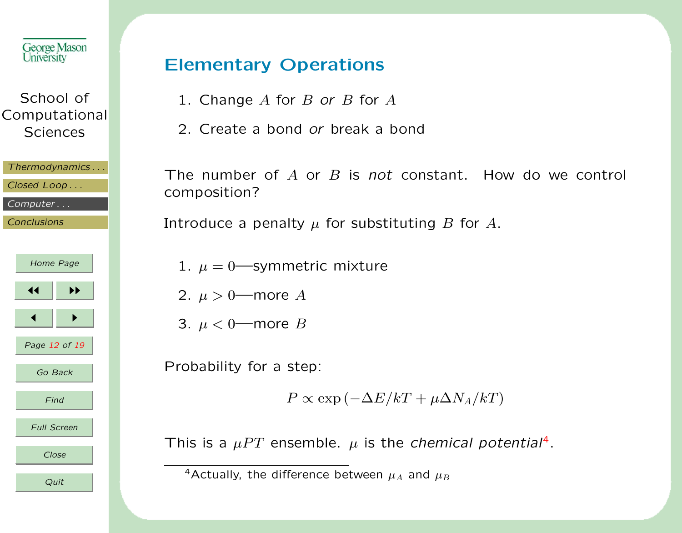| George Mason<br>University                    |                                               |                |  |  |
|-----------------------------------------------|-----------------------------------------------|----------------|--|--|
| School of<br>Computational<br><b>Sciences</b> |                                               |                |  |  |
|                                               | Closed Loop<br>Computer<br><b>Conclusions</b> | Thermodynamics |  |  |
|                                               | Home Page                                     |                |  |  |
|                                               | 14                                            | ▸▶             |  |  |
|                                               |                                               | ь              |  |  |
|                                               | Page 12 of 19                                 |                |  |  |
|                                               | Go Back                                       |                |  |  |
| Find                                          |                                               |                |  |  |
|                                               | <b>Full Screen</b>                            |                |  |  |
|                                               | Close                                         |                |  |  |
|                                               | Quit                                          |                |  |  |

# Elementary Operations

- 1. Change  $A$  for  $B$  or  $B$  for  $A$
- 2. Create a bond or break a bond

The number of  $A$  or  $B$  is not constant. How do we control composition?

Introduce a penalty  $\mu$  for substituting B for A.

- 1.  $\mu = 0$  symmetric mixture
- 2.  $\mu > 0$  more A
- 3.  $\mu < 0$  more B

Probability for a step:

 $P \propto \exp(-\Delta E/kT + \mu \Delta N_A/kT)$ 

This is a  $\mu PT$  ensemble.  $\mu$  is the chemical potential<sup>4</sup>.

<sup>4</sup>Actually, the difference between  $\mu_A$  and  $\mu_B$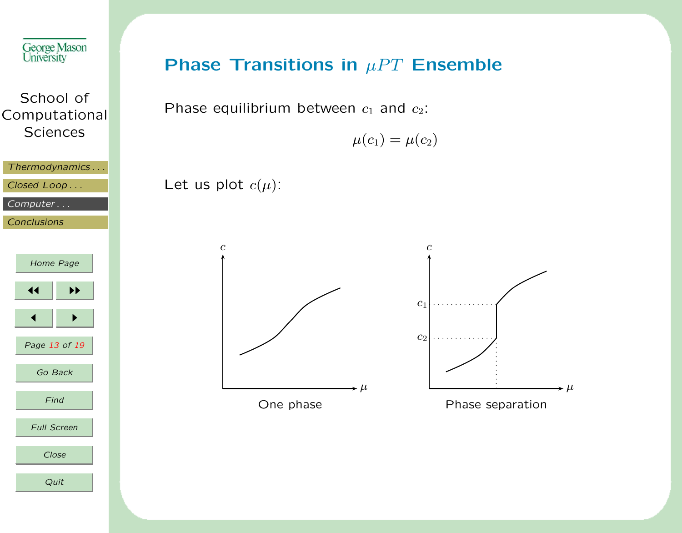

### Phase Transitions in  $\mu PT$  Ensemble

Phase equilibrium between  $c_1$  and  $c_2$ :

Let us plot  $c(\mu)$ :

 $\mu(c_1) = \mu(c_2)$ 

c  $\star \mu$ One phase c  $\rightarrow \mu$  $c_1$  $c<sub>2</sub>$ Phase separation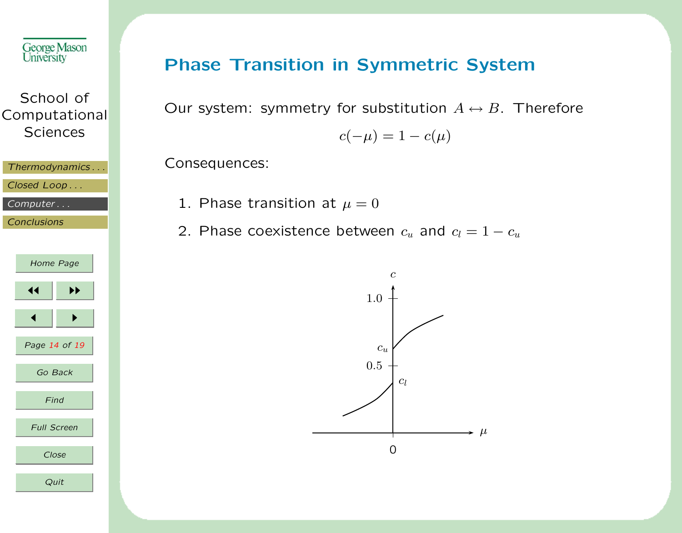

| Thermodynamics |  |
|----------------|--|
|                |  |

Closed Loop ...

[Computer . . .](#page-9-0)

**[Conclusions](#page-17-0)** 



### Phase Transition in Symmetric System

Our system: symmetry for substitution  $A \leftrightarrow B$ . Therefore

$$
c(-\mu) = 1 - c(\mu)
$$

Consequences:

- 1. Phase transition at  $\mu = 0$
- 2. Phase coexistence between  $c_u$  and  $c_l = 1 c_u$

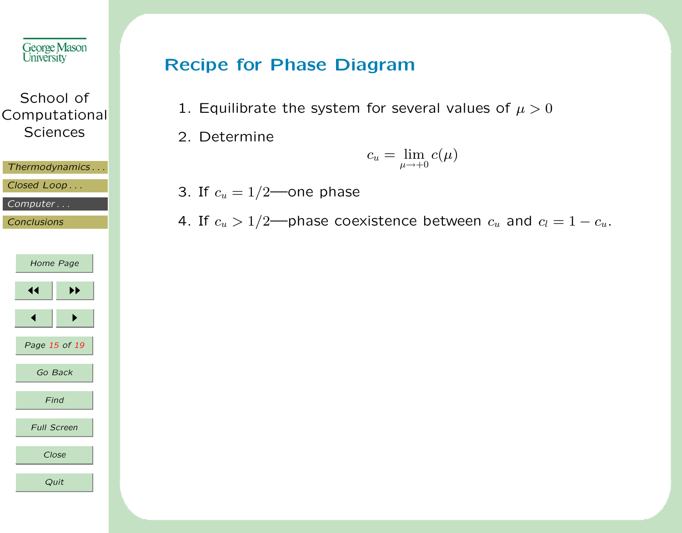

[Closed Loop . . .](#page-5-0)

[Computer . . .](#page-9-0)

**[Conclusions](#page-17-0)** 

| Home Page          |               |
|--------------------|---------------|
| ◀◀                 | ▶▶            |
| ◀                  | ▶             |
|                    | Page 15 of 19 |
| Go Back            |               |
| Find               |               |
| <b>Full Screen</b> |               |
| Close              |               |
| Quit               |               |

### Recipe for Phase Diagram

- 1. Equilibrate the system for several values of  $\mu > 0$
- 2. Determine

$$
c_u = \lim_{\mu \to +0} c(\mu)
$$

3. If  $c_u = 1/2$ —one phase

4. If  $c_u > 1/2$ —phase coexistence between  $c_u$  and  $c_l = 1 - c_u$ .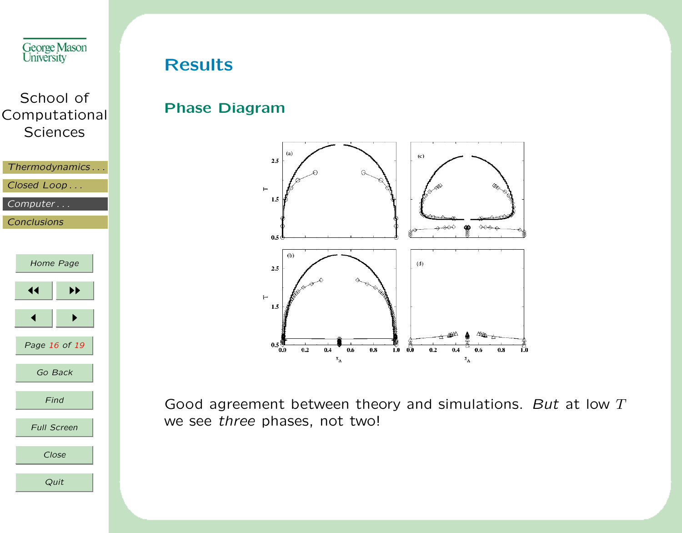



#### Results

#### Phase Diagram



Good agreement between theory and simulations. But at low  $T$ we see three phases, not two!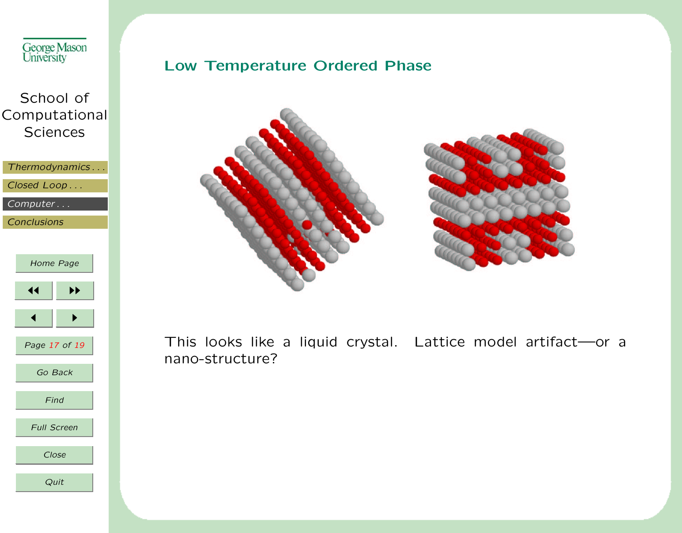



This looks like a liquid crystal. Lattice model artifact—or a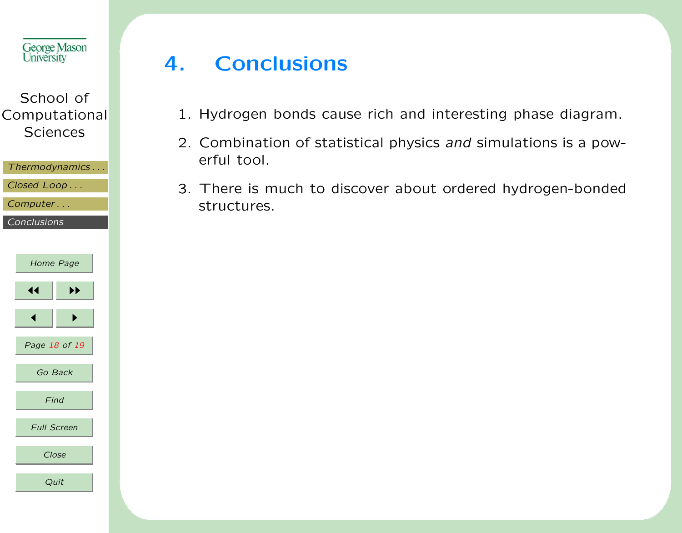<span id="page-17-0"></span>

| Thermodynamics |  |  |
|----------------|--|--|
|                |  |  |
| Closed Loop    |  |  |

[Computer . . .](#page-9-0)

Conclusions

| Home Page          |    |  |
|--------------------|----|--|
| ◀◀                 | ▶▶ |  |
|                    |    |  |
| Page 18 of 19      |    |  |
| Go Back            |    |  |
| Find               |    |  |
| <b>Full Screen</b> |    |  |
| Close              |    |  |
| Quit               |    |  |

# 4. Conclusions

- 1. Hydrogen bonds cause rich and interesting phase diagram.
- 2. Combination of statistical physics and simulations is a powerful tool.
- 3. There is much to discover about ordered hydrogen-bonded structures.